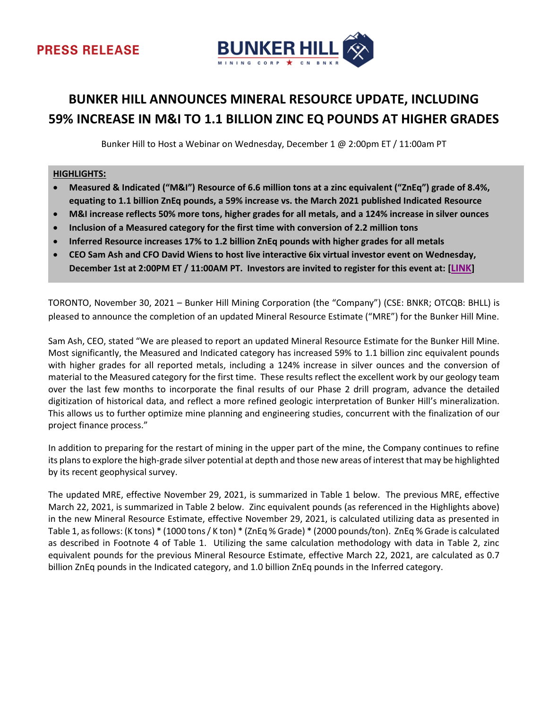



# **BUNKER HILL ANNOUNCES MINERAL RESOURCE UPDATE, INCLUDING 59% INCREASE IN M&I TO 1.1 BILLION ZINC EQ POUNDS AT HIGHER GRADES**

Bunker Hill to Host a Webinar on Wednesday, December 1 @ 2:00pm ET / 11:00am PT

## **HIGHLIGHTS:**

- **Measured & Indicated ("M&I") Resource of 6.6 million tons at a zinc equivalent ("ZnEq") grade of 8.4%, equating to 1.1 billion ZnEq pounds, a 59% increase vs. the March 2021 published Indicated Resource**
- **M&I increase reflects 50% more tons, higher grades for all metals, and a 124% increase in silver ounces**
- **Inclusion of a Measured category for the first time with conversion of 2.2 million tons**
- **Inferred Resource increases 17% to 1.2 billion ZnEq pounds with higher grades for all metals**
- **CEO Sam Ash and CFO David Wiens to host live interactive 6ix virtual investor event on Wednesday, December 1st at 2:00PM ET / 11:00AM PT. Investors are invited to register for this event at: [[LINK](https://my.6ix.com/XbgVt-mE)]**

TORONTO, November 30, 2021 – Bunker Hill Mining Corporation (the "Company") (CSE: BNKR; OTCQB: BHLL) is pleased to announce the completion of an updated Mineral Resource Estimate ("MRE") for the Bunker Hill Mine.

Sam Ash, CEO, stated "We are pleased to report an updated Mineral Resource Estimate for the Bunker Hill Mine. Most significantly, the Measured and Indicated category has increased 59% to 1.1 billion zinc equivalent pounds with higher grades for all reported metals, including a 124% increase in silver ounces and the conversion of material to the Measured category for the first time. These results reflect the excellent work by our geology team over the last few months to incorporate the final results of our Phase 2 drill program, advance the detailed digitization of historical data, and reflect a more refined geologic interpretation of Bunker Hill's mineralization. This allows us to further optimize mine planning and engineering studies, concurrent with the finalization of our project finance process."

In addition to preparing for the restart of mining in the upper part of the mine, the Company continues to refine its plans to explore the high-grade silver potential at depth and those new areas of interest that may be highlighted by its recent geophysical survey.

The updated MRE, effective November 29, 2021, is summarized in Table 1 below. The previous MRE, effective March 22, 2021, is summarized in Table 2 below. Zinc equivalent pounds (as referenced in the Highlights above) in the new Mineral Resource Estimate, effective November 29, 2021, is calculated utilizing data as presented in Table 1, as follows: (K tons) \* (1000 tons / K ton) \* (ZnEq % Grade) \* (2000 pounds/ton). ZnEq % Grade is calculated as described in Footnote 4 of Table 1. Utilizing the same calculation methodology with data in Table 2, zinc equivalent pounds for the previous Mineral Resource Estimate, effective March 22, 2021, are calculated as 0.7 billion ZnEq pounds in the Indicated category, and 1.0 billion ZnEq pounds in the Inferred category.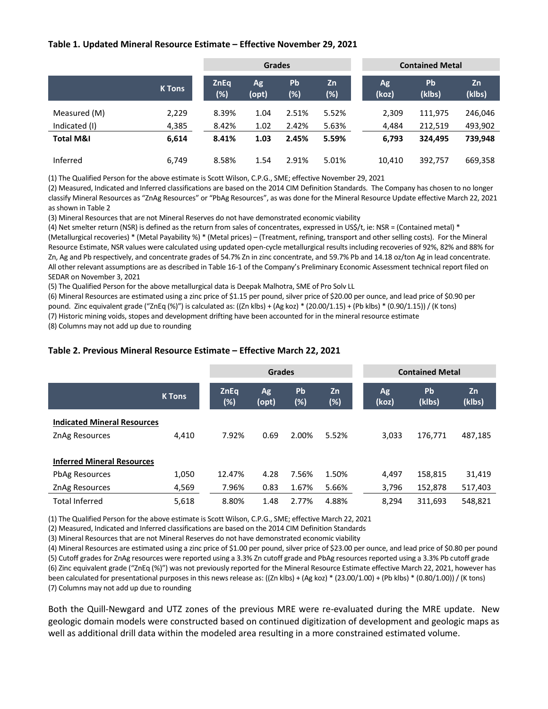# **Table 1. Updated Mineral Resource Estimate – Effective November 29, 2021**

|                      |               | <b>Grades</b>      |             |           |           | <b>Contained Metal</b> |                     |              |  |
|----------------------|---------------|--------------------|-------------|-----------|-----------|------------------------|---------------------|--------------|--|
|                      | <b>K</b> Tons | <b>ZnEq</b><br>(%) | Ag<br>(opt) | Pb<br>(%) | Zn<br>(%) | Ag<br>(koz)            | <b>Pb</b><br>(klbs) | Zn<br>(klbs) |  |
| Measured (M)         | 2,229         | 8.39%              | 1.04        | 2.51%     | 5.52%     | 2,309                  | 111,975             | 246,046      |  |
| Indicated (I)        | 4,385         | 8.42%              | 1.02        | 2.42%     | 5.63%     | 4,484                  | 212,519             | 493,902      |  |
| <b>Total M&amp;I</b> | 6.614         | 8.41%              | 1.03        | 2.45%     | 5.59%     | 6,793                  | 324.495             | 739,948      |  |
| Inferred             | 6,749         | 8.58%              | 1.54        | 2.91%     | 5.01%     | 10,410                 | 392,757             | 669,358      |  |

(1) The Qualified Person for the above estimate is Scott Wilson, C.P.G., SME; effective November 29, 2021

(2) Measured, Indicated and Inferred classifications are based on the 2014 CIM Definition Standards. The Company has chosen to no longer classify Mineral Resources as "ZnAg Resources" or "PbAg Resources", as was done for the Mineral Resource Update effective March 22, 2021 as shown in Table 2

(3) Mineral Resources that are not Mineral Reserves do not have demonstrated economic viability

(4) Net smelter return (NSR) is defined as the return from sales of concentrates, expressed in US\$/t, ie: NSR = (Contained metal) \* (Metallurgical recoveries) \* (Metal Payability %) \* (Metal prices) – (Treatment, refining, transport and other selling costs). For the Mineral Resource Estimate, NSR values were calculated using updated open-cycle metallurgical results including recoveries of 92%, 82% and 88% for Zn, Ag and Pb respectively, and concentrate grades of 54.7% Zn in zinc concentrate, and 59.7% Pb and 14.18 oz/ton Ag in lead concentrate. All other relevant assumptions are as described in Table 16-1 of the Company's Preliminary Economic Assessment technical report filed on SEDAR on November 3, 2021

(5) The Qualified Person for the above metallurgical data is Deepak Malhotra, SME of Pro Solv LL

(6) Mineral Resources are estimated using a zinc price of \$1.15 per pound, silver price of \$20.00 per ounce, and lead price of \$0.90 per pound. Zinc equivalent grade ("ZnEq (%)") is calculated as: ((Zn klbs) + (Ag koz) \* (20.00/1.15) + (Pb klbs) \* (0.90/1.15)) / (K tons)

(7) Historic mining voids, stopes and development drifting have been accounted for in the mineral resource estimate

(8) Columns may not add up due to rounding

## **Table 2. Previous Mineral Resource Estimate – Effective March 22, 2021**

|                                    |               |                       | <b>Grades</b>      |                  | <b>Contained Metal</b> |             |                     |              |
|------------------------------------|---------------|-----------------------|--------------------|------------------|------------------------|-------------|---------------------|--------------|
|                                    | <b>K</b> Tons | <b>ZnEq</b><br>$(\%)$ | <b>Ag</b><br>(opt) | <b>Pb</b><br>(%) | Zn<br>(%)              | Ag<br>(koz) | <b>Pb</b><br>(klbs) | Zn<br>(klbs) |
| <b>Indicated Mineral Resources</b> |               |                       |                    |                  |                        |             |                     |              |
| ZnAg Resources                     | 4,410         | 7.92%                 | 0.69               | 2.00%            | 5.52%                  | 3,033       | 176,771             | 487,185      |
| <b>Inferred Mineral Resources</b>  |               |                       |                    |                  |                        |             |                     |              |
| <b>PbAg Resources</b>              | 1,050         | 12.47%                | 4.28               | 7.56%            | 1.50%                  | 4,497       | 158,815             | 31,419       |
| ZnAg Resources                     | 4,569         | 7.96%                 | 0.83               | 1.67%            | 5.66%                  | 3,796       | 152,878             | 517,403      |
| <b>Total Inferred</b>              | 5,618         | 8.80%                 | 1.48               | 2.77%            | 4.88%                  | 8,294       | 311,693             | 548,821      |

(1) The Qualified Person for the above estimate is Scott Wilson, C.P.G., SME; effective March 22, 2021

(2) Measured, Indicated and Inferred classifications are based on the 2014 CIM Definition Standards

(3) Mineral Resources that are not Mineral Reserves do not have demonstrated economic viability

(4) Mineral Resources are estimated using a zinc price of \$1.00 per pound, silver price of \$23.00 per ounce, and lead price of \$0.80 per pound

(5) Cutoff grades for ZnAg resources were reported using a 3.3% Zn cutoff grade and PbAg resources reported using a 3.3% Pb cutoff grade

(6) Zinc equivalent grade ("ZnEq (%)") was not previously reported for the Mineral Resource Estimate effective March 22, 2021, however has been calculated for presentational purposes in this news release as: ((Zn klbs) + (Ag koz) \* (23.00/1.00) + (Pb klbs) \* (0.80/1.00)) / (K tons) (7) Columns may not add up due to rounding

Both the Quill-Newgard and UTZ zones of the previous MRE were re-evaluated during the MRE update. New geologic domain models were constructed based on continued digitization of development and geologic maps as well as additional drill data within the modeled area resulting in a more constrained estimated volume.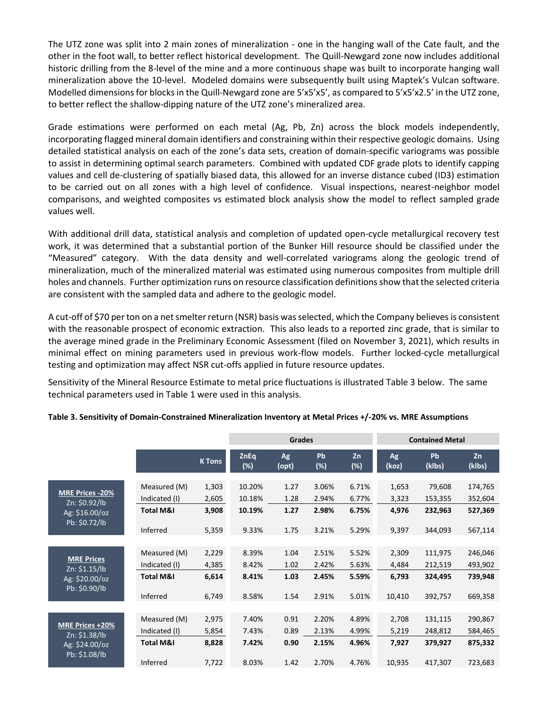The UTZ zone was split into 2 main zones of mineralization - one in the hanging wall of the Cate fault, and the other in the foot wall, to better reflect historical development. The Quill-Newgard zone now includes additional historic drilling from the 8-level of the mine and a more continuous shape was built to incorporate hanging wall mineralization above the 10-level. Modeled domains were subsequently built using Maptek's Vulcan software. Modelled dimensions for blocks in the Quill-Newgard zone are 5'x5'x5', as compared to 5'x5'x2.5' in the UTZ zone, to better reflect the shallow-dipping nature of the UTZ zone's mineralized area.

Grade estimations were performed on each metal (Ag, Pb, Zn) across the block models independently, incorporating flagged mineral domain identifiers and constraining within their respective geologic domains. Using detailed statistical analysis on each of the zone's data sets, creation of domain-specific variograms was possible to assist in determining optimal search parameters. Combined with updated CDF grade plots to identify capping values and cell de-clustering of spatially biased data, this allowed for an inverse distance cubed (ID3) estimation to be carried out on all zones with a high level of confidence. Visual inspections, nearest-neighbor model comparisons, and weighted composites vs estimated block analysis show the model to reflect sampled grade values well.

With additional drill data, statistical analysis and completion of updated open-cycle metallurgical recovery test work, it was determined that a substantial portion of the Bunker Hill resource should be classified under the "Measured" category. With the data density and well-correlated variograms along the geologic trend of mineralization, much of the mineralized material was estimated using numerous composites from multiple drill holes and channels. Further optimization runs on resource classification definitions show that the selected criteria are consistent with the sampled data and adhere to the geologic model.

A cut-off of \$70 per ton on a net smelter return (NSR) basis was selected, which the Company believes is consistent with the reasonable prospect of economic extraction. This also leads to a reported zinc grade, that is similar to the average mined grade in the Preliminary Economic Assessment (filed on November 3, 2021), which results in minimal effect on mining parameters used in previous work-flow models. Further locked-cycle metallurgical testing and optimization may affect NSR cut-offs applied in future resource updates.

Sensitivity of the Mineral Resource Estimate to metal price fluctuations is illustrated Table 3 below. The same technical parameters used in Table 1 were used in this analysis.

|                                                                            |                                  |                | <b>Grades</b>      |              |                |                | <b>Contained Metal</b> |                    |                    |  |
|----------------------------------------------------------------------------|----------------------------------|----------------|--------------------|--------------|----------------|----------------|------------------------|--------------------|--------------------|--|
|                                                                            |                                  | $K$ Tons       | <b>ZnEq</b><br>(%) | Ag<br>(opt)  | Pb<br>(%)      | Zn<br>(%)      | Ag<br>(koz)            | Pb<br>(klbs)       | Zn<br>(klbs)       |  |
| <b>MRE Prices -20%</b><br>Zn: \$0.92/lb<br>Ag: \$16.00/oz<br>Pb: \$0.72/lb | Measured (M)<br>Indicated (I)    | 1,303<br>2,605 | 10.20%<br>10.18%   | 1.27<br>1.28 | 3.06%<br>2.94% | 6.71%<br>6.77% | 1,653<br>3,323         | 79,608<br>153,355  | 174,765<br>352,604 |  |
|                                                                            | <b>Total M&amp;I</b><br>Inferred | 3,908<br>5,359 | 10.19%<br>9.33%    | 1.27<br>1.75 | 2.98%<br>3.21% | 6.75%<br>5.29% | 4,976<br>9,397         | 232,963<br>344,093 | 527,369<br>567,114 |  |
|                                                                            |                                  |                |                    |              |                |                |                        |                    |                    |  |
| <b>MRE Prices</b><br>Zn: \$1.15/lb<br>Ag: \$20.00/oz<br>Pb: \$0.90/lb      | Measured (M)                     | 2,229          | 8.39%              | 1.04         | 2.51%          | 5.52%          | 2,309                  | 111,975            | 246,046            |  |
|                                                                            | Indicated (I)                    | 4,385          | 8.42%              | 1.02         | 2.42%          | 5.63%          | 4,484                  | 212,519            | 493,902            |  |
|                                                                            | <b>Total M&amp;I</b>             | 6,614          | 8.41%              | 1.03         | 2.45%          | 5.59%          | 6,793                  | 324,495            | 739,948            |  |
|                                                                            | Inferred                         | 6,749          | 8.58%              | 1.54         | 2.91%          | 5.01%          | 10,410                 | 392,757            | 669,358            |  |
|                                                                            |                                  |                |                    |              |                |                |                        |                    |                    |  |
| MRE Prices +20%<br>Zn: \$1.38/lb<br>Ag: \$24.00/oz<br>Pb: \$1.08/lb        | Measured (M)                     | 2,975          | 7.40%              | 0.91         | 2.20%          | 4.89%          | 2,708                  | 131,115            | 290,867            |  |
|                                                                            | Indicated (I)                    | 5,854          | 7.43%              | 0.89         | 2.13%          | 4.99%          | 5,219                  | 248,812            | 584,465            |  |
|                                                                            | <b>Total M&amp;I</b>             | 8,828          | 7.42%              | 0.90         | 2.15%          | 4.96%          | 7,927                  | 379,927            | 875,332            |  |
|                                                                            | Inferred                         | 7,722          | 8.03%              | 1.42         | 2.70%          | 4.76%          | 10,935                 | 417,307            | 723,683            |  |

## **Table 3. Sensitivity of Domain-Constrained Mineralization Inventory at Metal Prices +/-20% vs. MRE Assumptions**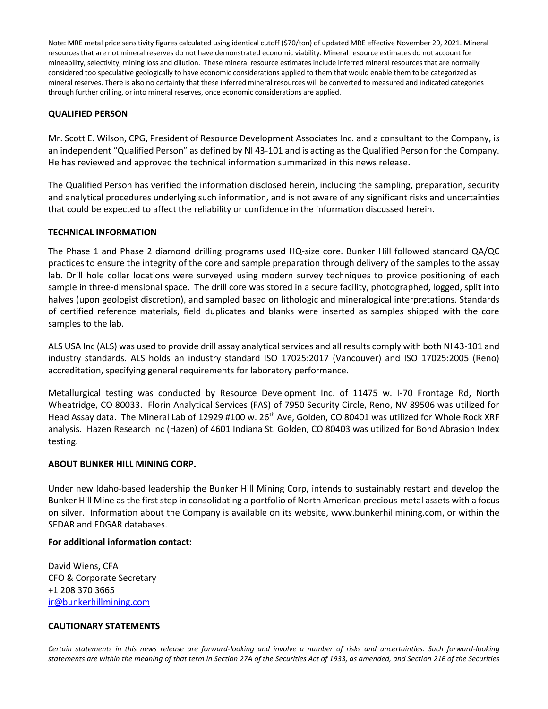Note: MRE metal price sensitivity figures calculated using identical cutoff (\$70/ton) of updated MRE effective November 29, 2021. Mineral resources that are not mineral reserves do not have demonstrated economic viability. Mineral resource estimates do not account for mineability, selectivity, mining loss and dilution. These mineral resource estimates include inferred mineral resources that are normally considered too speculative geologically to have economic considerations applied to them that would enable them to be categorized as mineral reserves. There is also no certainty that these inferred mineral resources will be converted to measured and indicated categories through further drilling, or into mineral reserves, once economic considerations are applied.

# **QUALIFIED PERSON**

Mr. Scott E. Wilson, CPG, President of Resource Development Associates Inc. and a consultant to the Company, is an independent "Qualified Person" as defined by NI 43-101 and is acting as the Qualified Person for the Company. He has reviewed and approved the technical information summarized in this news release.

The Qualified Person has verified the information disclosed herein, including the sampling, preparation, security and analytical procedures underlying such information, and is not aware of any significant risks and uncertainties that could be expected to affect the reliability or confidence in the information discussed herein.

## **TECHNICAL INFORMATION**

The Phase 1 and Phase 2 diamond drilling programs used HQ-size core. Bunker Hill followed standard QA/QC practices to ensure the integrity of the core and sample preparation through delivery of the samples to the assay lab. Drill hole collar locations were surveyed using modern survey techniques to provide positioning of each sample in three-dimensional space. The drill core was stored in a secure facility, photographed, logged, split into halves (upon geologist discretion), and sampled based on lithologic and mineralogical interpretations. Standards of certified reference materials, field duplicates and blanks were inserted as samples shipped with the core samples to the lab.

ALS USA Inc (ALS) was used to provide drill assay analytical services and all results comply with both NI 43-101 and industry standards. ALS holds an industry standard ISO 17025:2017 (Vancouver) and ISO 17025:2005 (Reno) accreditation, specifying general requirements for laboratory performance.

Metallurgical testing was conducted by Resource Development Inc. of 11475 w. I-70 Frontage Rd, North Wheatridge, CO 80033. Florin Analytical Services (FAS) of 7950 Security Circle, Reno, NV 89506 was utilized for Head Assay data. The Mineral Lab of 12929 #100 w. 26<sup>th</sup> Ave, Golden, CO 80401 was utilized for Whole Rock XRF analysis. Hazen Research Inc (Hazen) of 4601 Indiana St. Golden, CO 80403 was utilized for Bond Abrasion Index testing.

## **ABOUT BUNKER HILL MINING CORP.**

Under new Idaho-based leadership the Bunker Hill Mining Corp, intends to sustainably restart and develop the Bunker Hill Mine as the first step in consolidating a portfolio of North American precious-metal assets with a focus on silver. Information about the Company is available on its website, www.bunkerhillmining.com, or within the SEDAR and EDGAR databases.

## **For additional information contact:**

David Wiens, CFA CFO & Corporate Secretary +1 208 370 3665 [ir@bunkerhillmining.com](mailto:ir@bunkerhillmining.com)

## **CAUTIONARY STATEMENTS**

*Certain statements in this news release are forward-looking and involve a number of risks and uncertainties. Such forward-looking statements are within the meaning of that term in Section 27A of the Securities Act of 1933, as amended, and Section 21E of the Securities*